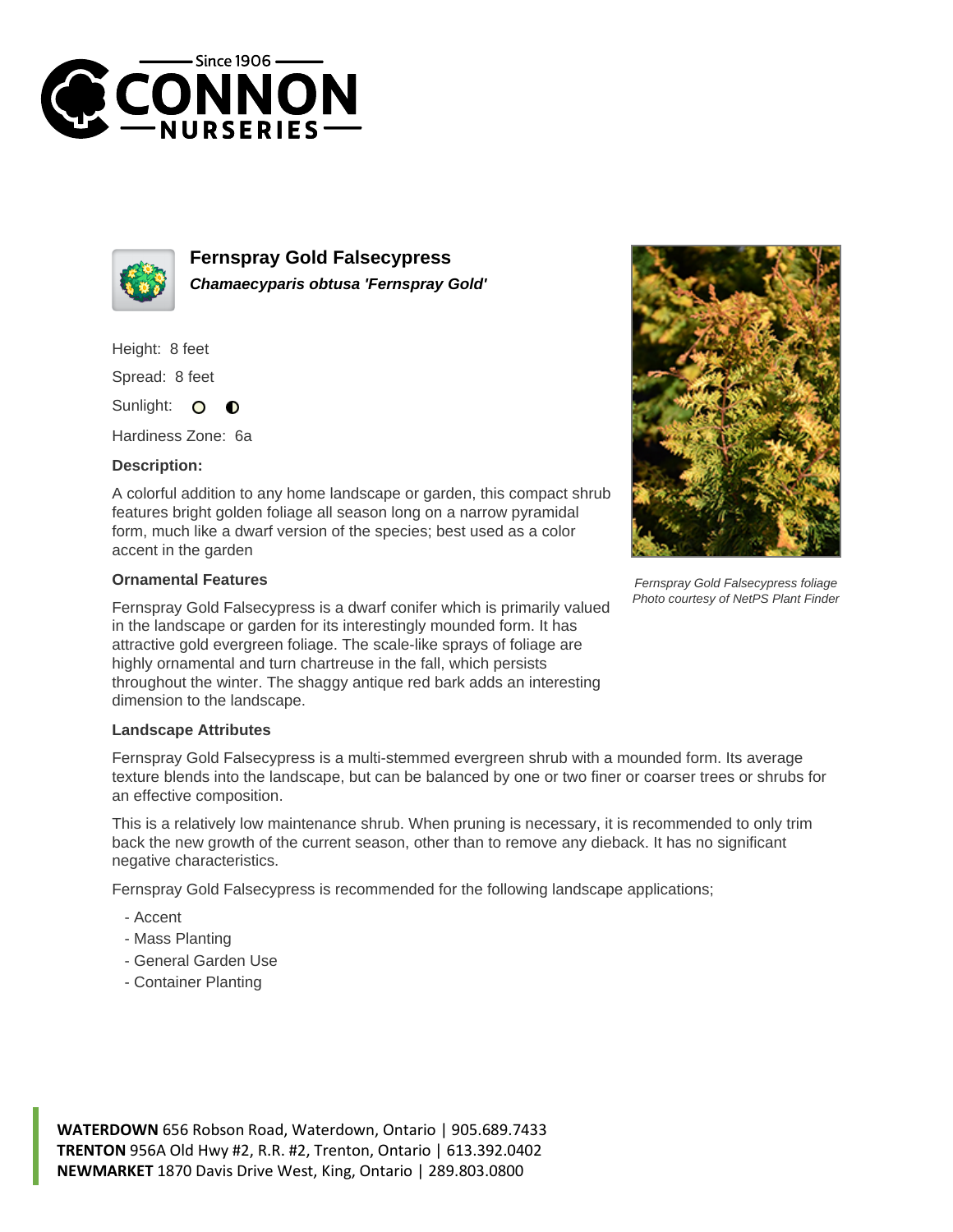



**Fernspray Gold Falsecypress Chamaecyparis obtusa 'Fernspray Gold'**

Height: 8 feet

Spread: 8 feet

Sunlight:  $\circ$ ∩

Hardiness Zone: 6a

## **Description:**

A colorful addition to any home landscape or garden, this compact shrub features bright golden foliage all season long on a narrow pyramidal form, much like a dwarf version of the species; best used as a color accent in the garden

## **Ornamental Features**

Fernspray Gold Falsecypress is a dwarf conifer which is primarily valued in the landscape or garden for its interestingly mounded form. It has attractive gold evergreen foliage. The scale-like sprays of foliage are highly ornamental and turn chartreuse in the fall, which persists throughout the winter. The shaggy antique red bark adds an interesting dimension to the landscape.

## **Landscape Attributes**

Fernspray Gold Falsecypress is a multi-stemmed evergreen shrub with a mounded form. Its average texture blends into the landscape, but can be balanced by one or two finer or coarser trees or shrubs for an effective composition.

This is a relatively low maintenance shrub. When pruning is necessary, it is recommended to only trim back the new growth of the current season, other than to remove any dieback. It has no significant negative characteristics.

Fernspray Gold Falsecypress is recommended for the following landscape applications;

- Accent
- Mass Planting
- General Garden Use
- Container Planting





Fernspray Gold Falsecypress foliage Photo courtesy of NetPS Plant Finder